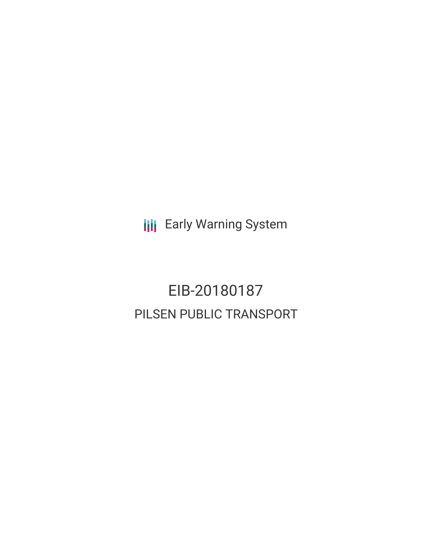**III** Early Warning System

EIB-20180187 PILSEN PUBLIC TRANSPORT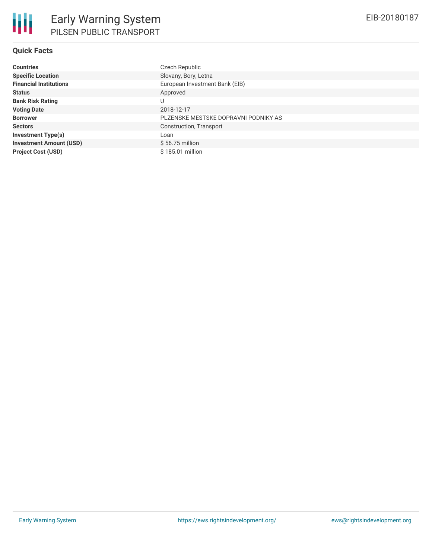## **Quick Facts**

| <b>Countries</b>               | Czech Republic                       |
|--------------------------------|--------------------------------------|
| <b>Specific Location</b>       | Slovany, Bory, Letna                 |
| <b>Financial Institutions</b>  | European Investment Bank (EIB)       |
| <b>Status</b>                  | Approved                             |
| <b>Bank Risk Rating</b>        | U                                    |
| <b>Voting Date</b>             | 2018-12-17                           |
| <b>Borrower</b>                | PLZENSKE MESTSKE DOPRAVNI PODNIKY AS |
| <b>Sectors</b>                 | Construction, Transport              |
| <b>Investment Type(s)</b>      | Loan                                 |
| <b>Investment Amount (USD)</b> | $$56.75$ million                     |
| <b>Project Cost (USD)</b>      | \$185.01 million                     |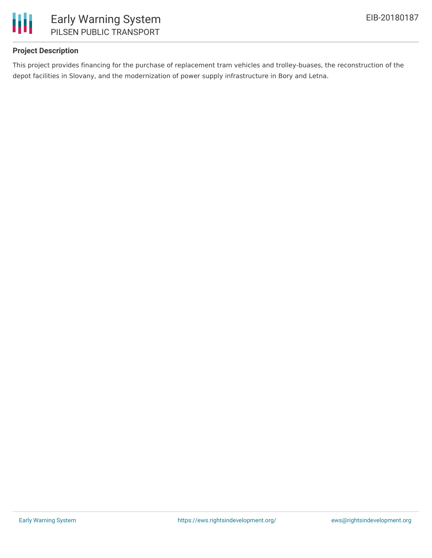

### **Project Description**

This project provides financing for the purchase of replacement tram vehicles and trolley-buases, the reconstruction of the depot facilities in Slovany, and the modernization of power supply infrastructure in Bory and Letna.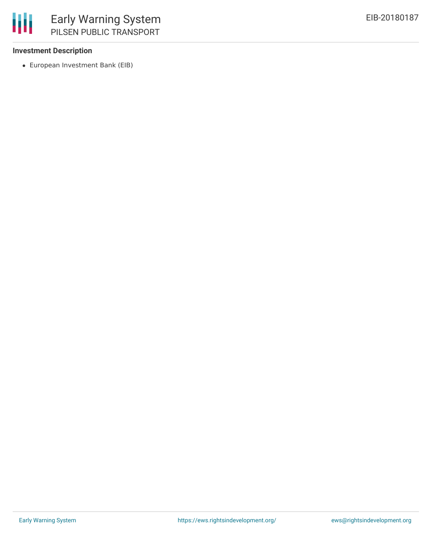

### **Investment Description**

European Investment Bank (EIB)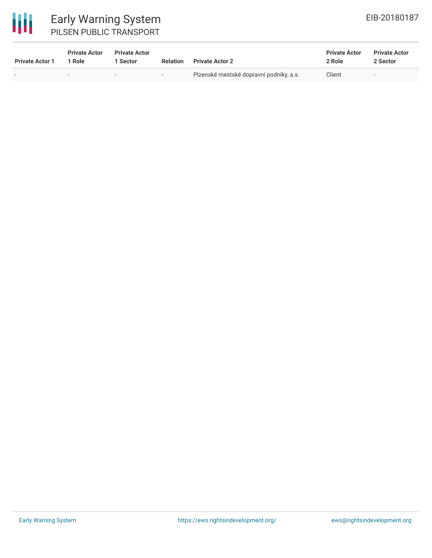# 冊

# Early Warning System PILSEN PUBLIC TRANSPORT

| <b>Private Actor 1</b> | <b>Private Actor</b><br>1 Role | <b>Private Actor</b><br>Sector | <b>Relation</b> | <b>Private Actor 2</b>                  | <b>Private Actor</b><br>2 Role | <b>Private Actor</b><br>2 Sector |
|------------------------|--------------------------------|--------------------------------|-----------------|-----------------------------------------|--------------------------------|----------------------------------|
| $\sim$                 | $\overline{\phantom{0}}$       | $\overline{\phantom{0}}$       | $-$             | Plzenské mestské dopravní podniky, a.s. | Client                         | $\overline{\phantom{a}}$         |